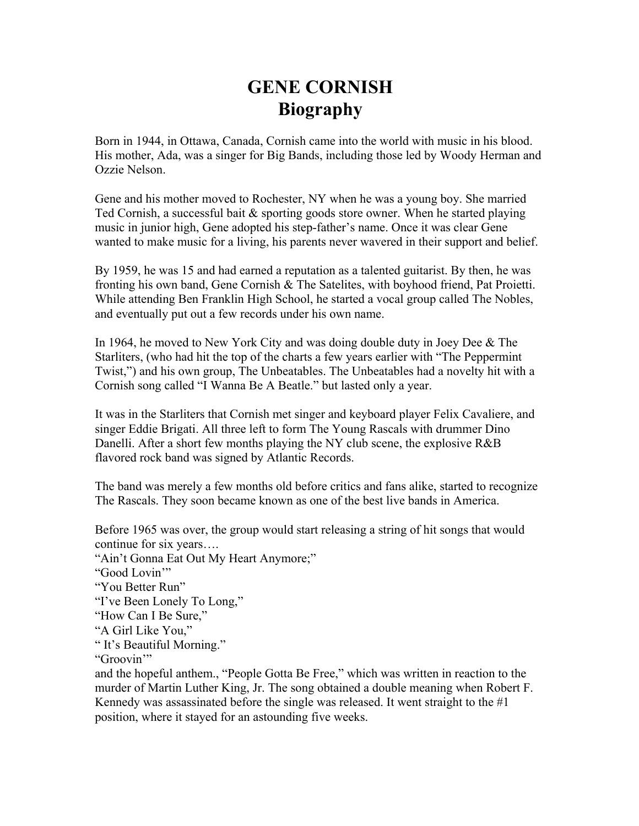## **GENE CORNISH Biography**

Born in 1944, in Ottawa, Canada, Cornish came into the world with music in his blood. His mother, Ada, was a singer for Big Bands, including those led by Woody Herman and Ozzie Nelson.

Gene and his mother moved to Rochester, NY when he was a young boy. She married Ted Cornish, a successful bait  $\&$  sporting goods store owner. When he started playing music in junior high, Gene adopted his step-father's name. Once it was clear Gene wanted to make music for a living, his parents never wavered in their support and belief.

By 1959, he was 15 and had earned a reputation as a talented guitarist. By then, he was fronting his own band, Gene Cornish & The Satelites, with boyhood friend, Pat Proietti. While attending Ben Franklin High School, he started a vocal group called The Nobles, and eventually put out a few records under his own name.

In 1964, he moved to New York City and was doing double duty in Joey Dee & The Starliters, (who had hit the top of the charts a few years earlier with "The Peppermint Twist,") and his own group, The Unbeatables. The Unbeatables had a novelty hit with a Cornish song called "I Wanna Be A Beatle." but lasted only a year.

It was in the Starliters that Cornish met singer and keyboard player Felix Cavaliere, and singer Eddie Brigati. All three left to form The Young Rascals with drummer Dino Danelli. After a short few months playing the NY club scene, the explosive R&B flavored rock band was signed by Atlantic Records.

The band was merely a few months old before critics and fans alike, started to recognize The Rascals. They soon became known as one of the best live bands in America.

Before 1965 was over, the group would start releasing a string of hit songs that would continue for six years….

"Ain't Gonna Eat Out My Heart Anymore;"

"Good Lovin'"

"You Better Run"

"I've Been Lonely To Long,"

"How Can I Be Sure,"

"A Girl Like You,"

" It's Beautiful Morning."

"Groovin'"

and the hopeful anthem., "People Gotta Be Free," which was written in reaction to the murder of Martin Luther King, Jr. The song obtained a double meaning when Robert F. Kennedy was assassinated before the single was released. It went straight to the  $\#1$ position, where it stayed for an astounding five weeks.